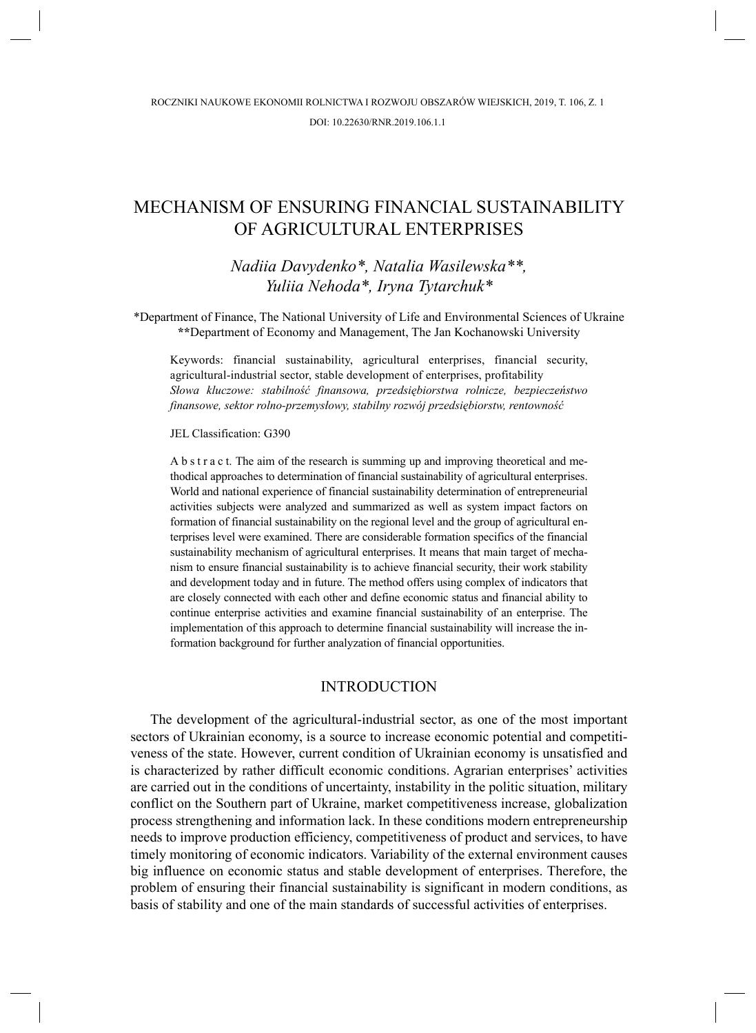# MECHANISM OF ENSURING FINANCIAL SUSTAINABILITY OF AGRICULTURAL ENTERPRISES

*Nadiia Davydenko\*, Natalia Wasilewska\*\*, Yuliia Nehoda\*, Iryna Tytarchuk\**

\*Department of Finance, The National University of Life and Environmental Sciences of Ukraine **\*\***Department of Economy and Management, The Jan Kochanowski University

Keywords: financial sustainability, agricultural enterprises, financial security, agricultural-industrial sector, stable development of enterprises, profitability *Słowa kluczowe: stabilność finansowa, przedsiębiorstwa rolnicze, bezpieczeństwo finansowe, sektor rolno-przemysłowy, stabilny rozwój przedsiębiorstw, rentowność*

#### JEL Classification: G390

A b s t r a c t. The aim of the research is summing up and improving theoretical and methodical approaches to determination of financial sustainability of agricultural enterprises. World and national experience of financial sustainability determination of entrepreneurial activities subjects were analyzed and summarized as well as system impact factors on formation of financial sustainability on the regional level and the group of agricultural enterprises level were examined. There are considerable formation specifics of the financial sustainability mechanism of agricultural enterprises. It means that main target of mechanism to ensure financial sustainability is to achieve financial security, their work stability and development today and in future. The method offers using complex of indicators that are closely connected with each other and define economic status and financial ability to continue enterprise activities and examine financial sustainability of an enterprise. The implementation of this approach to determine financial sustainability will increase the information background for further analyzation of financial opportunities.

### INTRODUCTION

The development of the agricultural-industrial sector, as one of the most important sectors of Ukrainian economy, is a source to increase economic potential and competitiveness of the state. However, current condition of Ukrainian economy is unsatisfied and is characterized by rather difficult economic conditions. Agrarian enterprises' activities are carried out in the conditions of uncertainty, instability in the politic situation, military conflict on the Southern part of Ukraine, market competitiveness increase, globalization process strengthening and information lack. In these conditions modern entrepreneurship needs to improve production efficiency, competitiveness of product and services, to have timely monitoring of economic indicators. Variability of the external environment causes big influence on economic status and stable development of enterprises. Therefore, the problem of ensuring their financial sustainability is significant in modern conditions, as basis of stability and one of the main standards of successful activities of enterprises.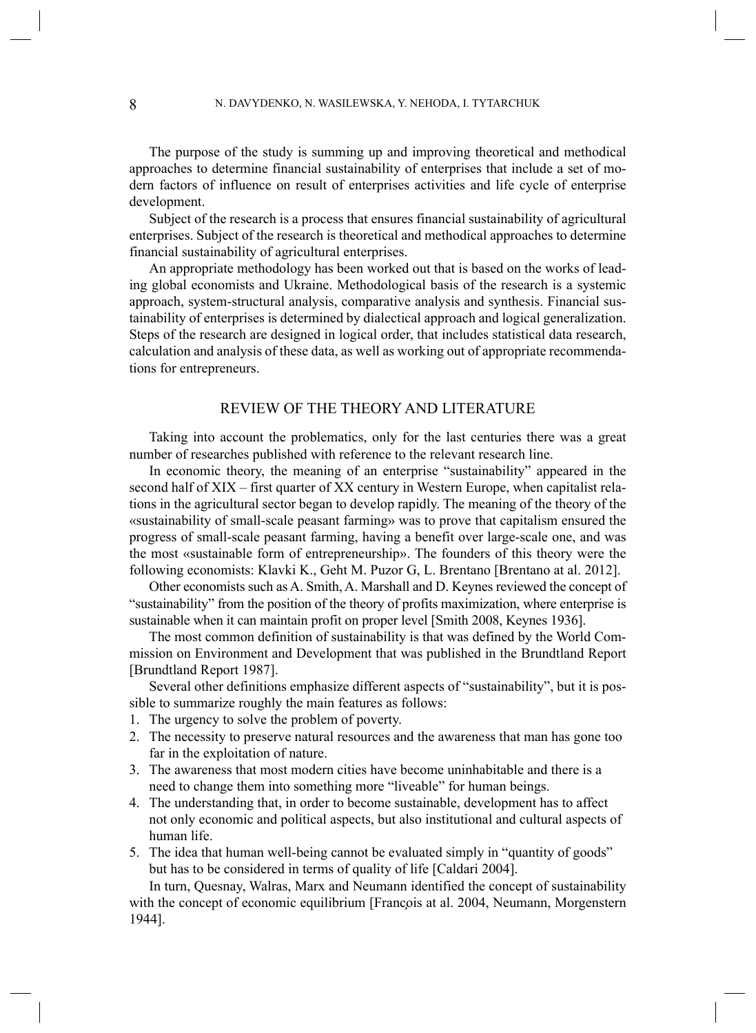The purpose of the study is summing up and improving theoretical and methodical approaches to determine financial sustainability of enterprises that include a set of modern factors of influence on result of enterprises activities and life cycle of enterprise development.

Subject of the research is a process that ensures financial sustainability of agricultural enterprises. Subject of the research is theoretical and methodical approaches to determine financial sustainability of agricultural enterprises.

An appropriate methodology has been worked out that is based on the works of leading global economists and Ukraine. Methodological basis of the research is a systemic approach, system-structural analysis, comparative analysis and synthesis. Financial sustainability of enterprises is determined by dialectical approach and logical generalization. Steps of the research are designed in logical order, that includes statistical data research, calculation and analysis of these data, as well as working out of appropriate recommendations for entrepreneurs.

### REVIEW OF THE THEORY AND LITERATURE

Taking into account the problematics, only for the last centuries there was a great number of researches published with reference to the relevant research line.

In economic theory, the meaning of an enterprise "sustainability" appeared in the second half of XIX – first quarter of XX century in Western Europe, when capitalist relations in the agricultural sector began to develop rapidly. The meaning of the theory of the «sustainability of small-scale peasant farming» was to prove that capitalism ensured the progress of small-scale peasant farming, having a benefit over large-scale one, and was the most «sustainable form of entrepreneurship». The founders of this theory were the following economists: Klavki K., Geht M. Puzor G, L. Brentano [Brentano at al. 2012].

Other economists such as A. Smith, A. Marshall and D. Keynes reviewed the concept of "sustainability" from the position of the theory of profits maximization, where enterprise is sustainable when it can maintain profit on proper level [Smith 2008, Keynes 1936].

The most common definition of sustainability is that was defined by the World Commission on Environment and Development that was published in the Brundtland Report [Brundtland Report 1987].

Several other definitions emphasize different aspects of "sustainability", but it is possible to summarize roughly the main features as follows:

- 1. The urgency to solve the problem of poverty.
- 2. The necessity to preserve natural resources and the awareness that man has gone too far in the exploitation of nature.
- 3. The awareness that most modern cities have become uninhabitable and there is a need to change them into something more "liveable" for human beings.
- 4. The understanding that, in order to become sustainable, development has to affect not only economic and political aspects, but also institutional and cultural aspects of human life.
- 5. The idea that human well-being cannot be evaluated simply in "quantity of goods" but has to be considered in terms of quality of life [Caldari 2004].

In turn, Quesnay, Walras, Marx and Neumann identified the concept of sustainability with the concept of economic equilibrium [Francois at al. 2004, Neumann, Morgenstern 1944].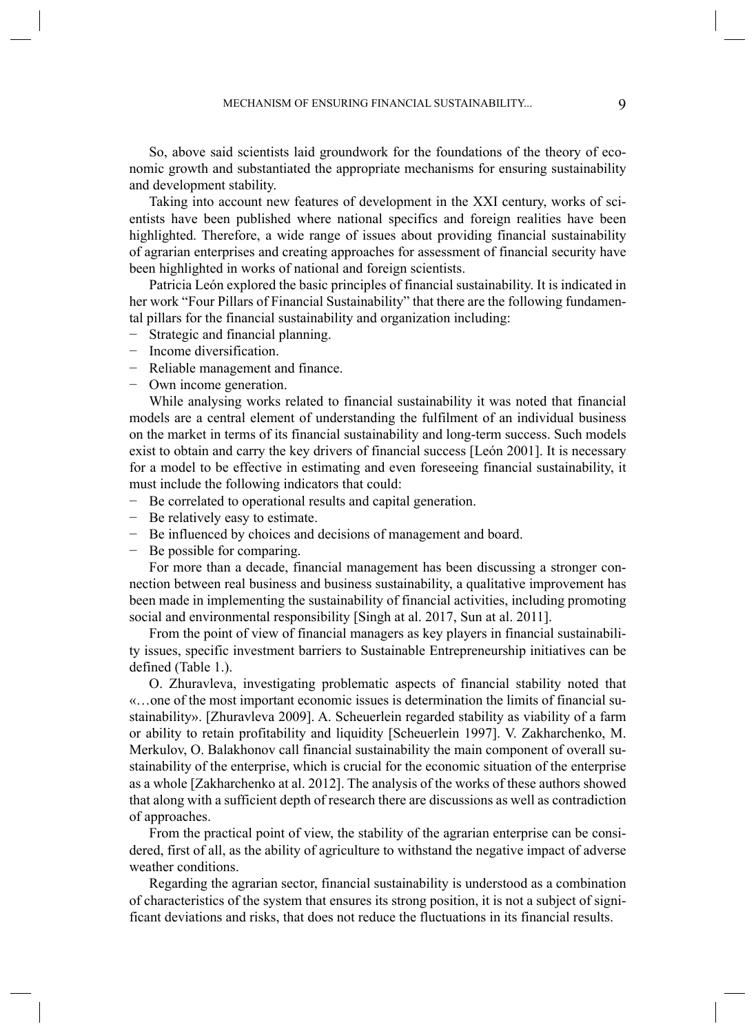So, above said scientists laid groundwork for the foundations of the theory of economic growth and substantiated the appropriate mechanisms for ensuring sustainability and development stability.

Taking into account new features of development in the XXI century, works of scientists have been published where national specifics and foreign realities have been highlighted. Therefore, a wide range of issues about providing financial sustainability of agrarian enterprises and creating approaches for assessment of financial security have been highlighted in works of national and foreign scientists.

Patricia León explored the basic principles of financial sustainability. It is indicated in her work "Four Pillars of Financial Sustainability" that there are the following fundamental pillars for the financial sustainability and organization including:

- − Strategic and financial planning.
- − Income diversification.
- Reliable management and finance.
- Own income generation.

While analysing works related to financial sustainability it was noted that financial models are a central element of understanding the fulfilment of an individual business on the market in terms of its financial sustainability and long-term success. Such models exist to obtain and carry the key drivers of financial success [León 2001]. It is necessary for a model to be effective in estimating and even foreseeing financial sustainability, it must include the following indicators that could:

- Be correlated to operational results and capital generation.
- Be relatively easy to estimate.
- Be influenced by choices and decisions of management and board.
- Be possible for comparing.

For more than a decade, financial management has been discussing a stronger connection between real business and business sustainability, a qualitative improvement has been made in implementing the sustainability of financial activities, including promoting social and environmental responsibility [Singh at al. 2017, Sun at al. 2011].

From the point of view of financial managers as key players in financial sustainability issues, specific investment barriers to Sustainable Entrepreneurship initiatives can be defined (Table 1.).

O. Zhuravleva, investigating problematic aspects of financial stability noted that «…one of the most important economic issues is determination the limits of financial sustainability». [Zhuravleva 2009]. A. Scheuerlein regarded stability as viability of a farm or ability to retain profitability and liquidity [Scheuerlein 1997]. V. Zakharchenko, M. Merkulov, O. Balakhonov call financial sustainability the main component of overall sustainability of the enterprise, which is crucial for the economic situation of the enterprise as a whole [Zakharchenko at al. 2012]. The analysis of the works of these authors showed that along with a sufficient depth of research there are discussions as well as contradiction of approaches.

From the practical point of view, the stability of the agrarian enterprise can be considered, first of all, as the ability of agriculture to withstand the negative impact of adverse weather conditions.

Regarding the agrarian sector, financial sustainability is understood as a combination of characteristics of the system that ensures its strong position, it is not a subject of significant deviations and risks, that does not reduce the fluctuations in its financial results.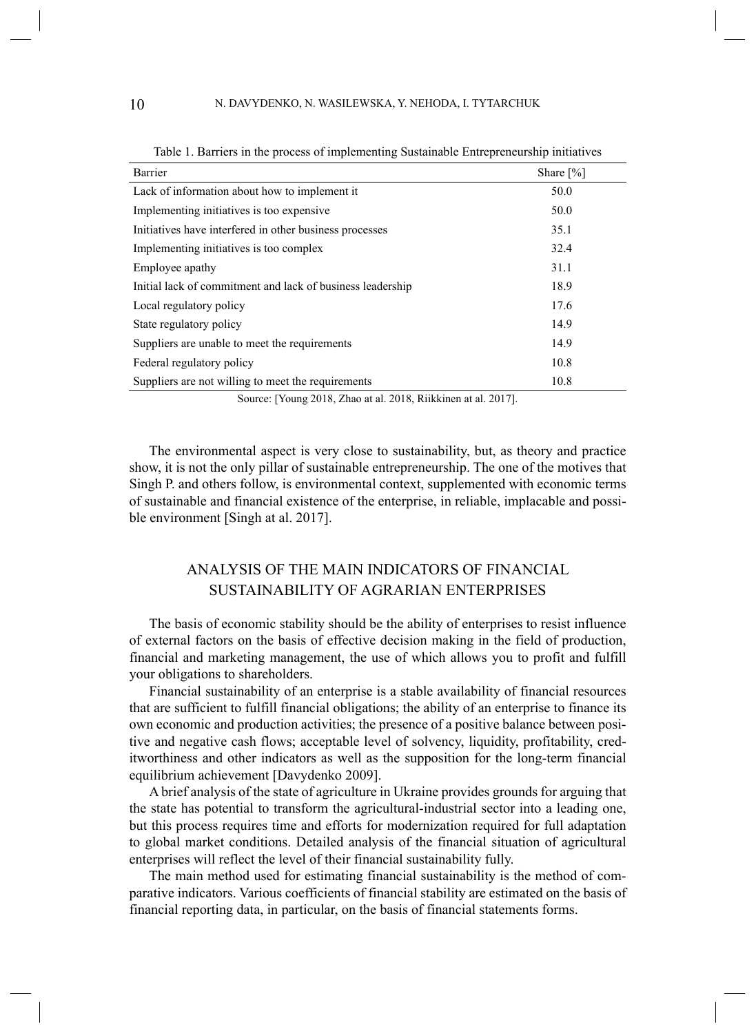| Barrier                                                    | Share $[\%]$ |
|------------------------------------------------------------|--------------|
| Lack of information about how to implement it              | 50.0         |
| Implementing initiatives is too expensive.                 | 50.0         |
| Initiatives have interfered in other business processes    | 35.1         |
| Implementing initiatives is too complex                    | 32.4         |
| Employee apathy                                            | 31.1         |
| Initial lack of commitment and lack of business leadership | 18.9         |
| Local regulatory policy                                    | 17.6         |
| State regulatory policy                                    | 14.9         |
| Suppliers are unable to meet the requirements              | 14.9         |
| Federal regulatory policy                                  | 10.8         |
| Suppliers are not willing to meet the requirements         | 10.8         |
| $\sqrt{1}$ 0.17 <sup>1</sup>                               |              |

Table 1. Barriers in the process of implementing Sustainable Entrepreneurship initiatives

Source: [Young 2018, Zhao at al. 2018, Riikkinen at al. 2017].

The environmental aspect is very close to sustainability, but, as theory and practice show, it is not the only pillar of sustainable entrepreneurship. The one of the motives that Singh P. and others follow, is environmental context, supplemented with economic terms of sustainable and financial existence of the enterprise, in reliable, implacable and possible environment [Singh at al. 2017].

# ANALYSIS OF THE MAIN INDICATORS OF FINANCIAL SUSTAINABILITY OF AGRARIAN ENTERPRISES

The basis of economic stability should be the ability of enterprises to resist influence of external factors on the basis of effective decision making in the field of production, financial and marketing management, the use of which allows you to profit and fulfill your obligations to shareholders.

Financial sustainability of an enterprise is a stable availability of financial resources that are sufficient to fulfill financial obligations; the ability of an enterprise to finance its own economic and production activities; the presence of a positive balance between positive and negative cash flows; acceptable level of solvency, liquidity, profitability, creditworthiness and other indicators as well as the supposition for the long-term financial equilibrium achievement [Davydenko 2009].

A brief analysis of the state of agriculture in Ukraine provides grounds for arguing that the state has potential to transform the agricultural-industrial sector into a leading one, but this process requires time and efforts for modernization required for full adaptation to global market conditions. Detailed analysis of the financial situation of agricultural enterprises will reflect the level of their financial sustainability fully.

The main method used for estimating financial sustainability is the method of comparative indicators. Various coefficients of financial stability are estimated on the basis of financial reporting data, in particular, on the basis of financial statements forms.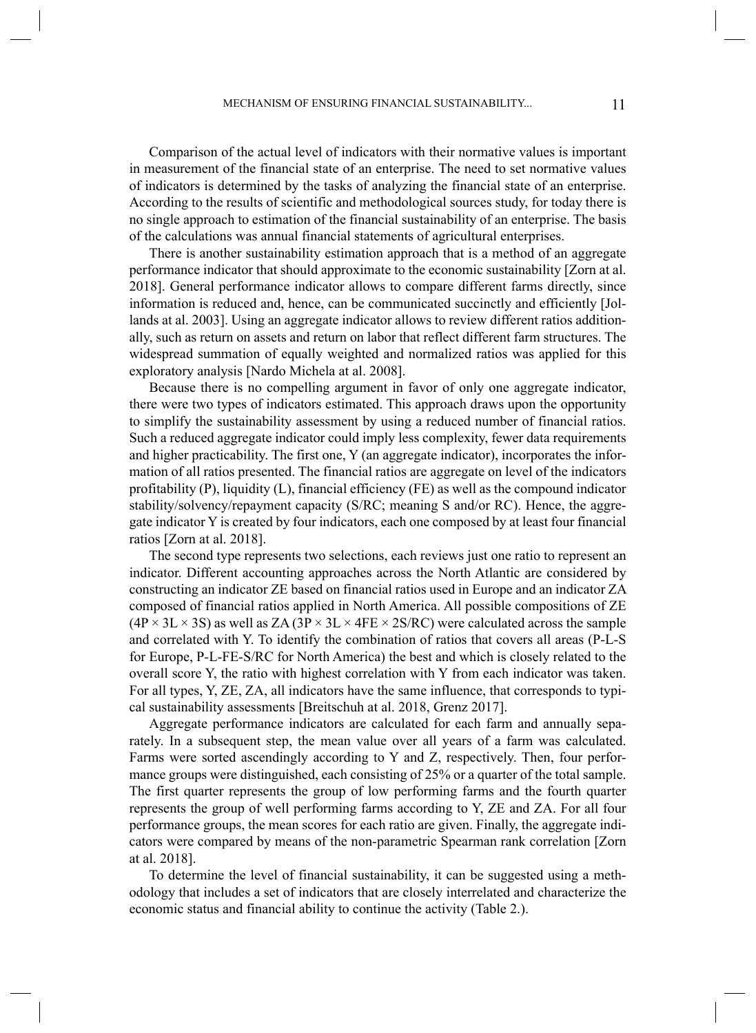Comparison of the actual level of indicators with their normative values is important in measurement of the financial state of an enterprise. The need to set normative values of indicators is determined by the tasks of analyzing the financial state of an enterprise. According to the results of scientific and methodological sources study, for today there is no single approach to estimation of the financial sustainability of an enterprise. The basis of the calculations was annual financial statements of agricultural enterprises.

There is another sustainability estimation approach that is a method of an aggregate performance indicator that should approximate to the economic sustainability [Zorn at al. 2018]. General performance indicator allows to compare different farms directly, since information is reduced and, hence, can be communicated succinctly and efficiently [Jollands at al. 2003]. Using an aggregate indicator allows to review different ratios additionally, such as return on assets and return on labor that reflect different farm structures. The widespread summation of equally weighted and normalized ratios was applied for this exploratory analysis [Nardo Michela at al. 2008].

Because there is no compelling argument in favor of only one aggregate indicator, there were two types of indicators estimated. This approach draws upon the opportunity to simplify the sustainability assessment by using a reduced number of financial ratios. Such a reduced aggregate indicator could imply less complexity, fewer data requirements and higher practicability. The first one, Y (an aggregate indicator), incorporates the information of all ratios presented. The financial ratios are aggregate on level of the indicators profitability (P), liquidity (L), financial efficiency (FE) as well as the compound indicator stability/solvency/repayment capacity (S/RC; meaning S and/or RC). Hence, the aggregate indicator Y is created by four indicators, each one composed by at least four financial ratios [Zorn at al. 2018].

The second type represents two selections, each reviews just one ratio to represent an indicator. Different accounting approaches across the North Atlantic are considered by constructing an indicator ZE based on financial ratios used in Europe and an indicator ZA composed of financial ratios applied in North America. All possible compositions of ZE  $(4P \times 3L \times 3S)$  as well as ZA  $(3P \times 3L \times 4FE \times 2S/RC)$  were calculated across the sample and correlated with Y. To identify the combination of ratios that covers all areas (P-L-S for Europe, P-L-FE-S/RC for North America) the best and which is closely related to the overall score Y, the ratio with highest correlation with Y from each indicator was taken. For all types, Y, ZE, ZA, all indicators have the same influence, that corresponds to typical sustainability assessments [Breitschuh at al. 2018, Grenz 2017].

Aggregate performance indicators are calculated for each farm and annually separately. In a subsequent step, the mean value over all years of a farm was calculated. Farms were sorted ascendingly according to Y and Z, respectively. Then, four performance groups were distinguished, each consisting of 25% or a quarter of the total sample. The first quarter represents the group of low performing farms and the fourth quarter represents the group of well performing farms according to Y, ZE and ZA. For all four performance groups, the mean scores for each ratio are given. Finally, the aggregate indicators were compared by means of the non-parametric Spearman rank correlation [Zorn at al. 2018].

To determine the level of financial sustainability, it can be suggested using a methodology that includes a set of indicators that are closely interrelated and characterize the economic status and financial ability to continue the activity (Table 2.).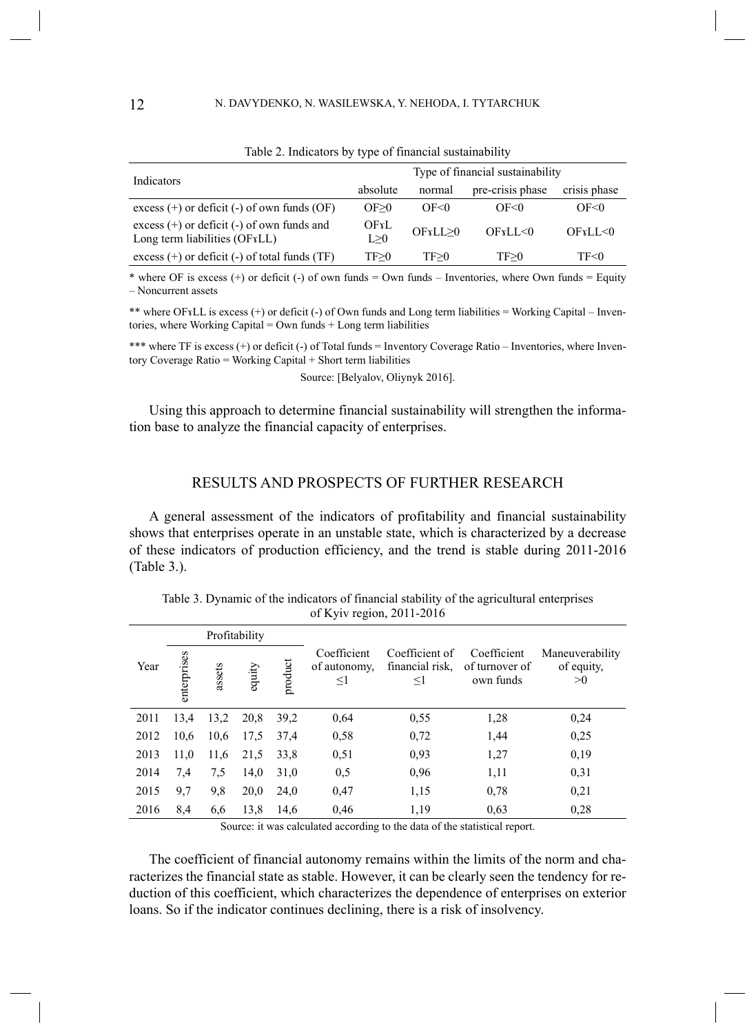| Indicators                                                                                   | Type of financial sustainability |           |                  |              |  |
|----------------------------------------------------------------------------------------------|----------------------------------|-----------|------------------|--------------|--|
|                                                                                              | absolute                         | normal    | pre-crisis phase | crisis phase |  |
| excess $(+)$ or deficit $(-)$ of own funds $(OF)$                                            | OF>0                             | OF<0      | OF<0             | OF<0         |  |
| excess $(+)$ or deficit $(-)$ of own funds and<br>Long term liabilities (OF <sub>TLL</sub> ) | OFrL<br>L > 0                    | OFrLL > 0 | OFxLL<0          | OFxLL<0      |  |
| excess $(+)$ or deficit $(-)$ of total funds $(TF)$                                          | TF>0                             | TF>0      | TF>0             | TF<0         |  |

Table 2. Indicators by type of financial sustainability

\* where OF is excess (+) or deficit (-) of own funds = Own funds – Inventories, where Own funds = Equity – Noncurrent assets

\*\* where OFɤLL is excess (+) or deficit (-) of Own funds and Long term liabilities = Working Capital – Inventories, where Working Capital = Own funds + Long term liabilities

\*\*\* where TF is excess (+) or deficit (-) of Total funds = Inventory Coverage Ratio – Inventories, where Inventory Coverage Ratio = Working Capital + Short term liabilities

Source: [Belyalov, Oliynyk 2016].

Using this approach to determine financial sustainability will strengthen the information base to analyze the financial capacity of enterprises.

### RESULTS AND PROSPECTS OF FURTHER RESEARCH

A general assessment of the indicators of profitability and financial sustainability shows that enterprises operate in an unstable state, which is characterized by a decrease of these indicators of production efficiency, and the trend is stable during 2011-2016 (Table 3.).

|      |             |        | Profitability |         |                                        |                                         |                                            |                                     |
|------|-------------|--------|---------------|---------|----------------------------------------|-----------------------------------------|--------------------------------------------|-------------------------------------|
| Year | enterprises | assets | equity        | product | Coefficient<br>of autonomy.<br>$\leq1$ | Coefficient of<br>financial risk.<br>≤1 | Coefficient<br>of turnover of<br>own funds | Maneuverability<br>of equity,<br>>0 |
| 2011 | 13,4        | 13,2   | 20,8          | 39,2    | 0.64                                   | 0,55                                    | 1,28                                       | 0,24                                |
| 2012 | 10.6        | 10,6   | 17.5          | 37.4    | 0,58                                   | 0,72                                    | 1,44                                       | 0,25                                |
| 2013 | 11,0        | 11,6   | 21,5          | 33,8    | 0,51                                   | 0,93                                    | 1,27                                       | 0,19                                |
| 2014 | 7,4         | 7.5    | 14,0          | 31,0    | 0,5                                    | 0,96                                    | 1,11                                       | 0,31                                |
| 2015 | 9,7         | 9,8    | 20,0          | 24,0    | 0,47                                   | 1,15                                    | 0,78                                       | 0,21                                |
| 2016 | 8,4         | 6,6    | 13,8          | 14.6    | 0.46                                   | 1,19                                    | 0,63                                       | 0,28                                |

Table 3. Dynamic of the indicators of financial stability of the agricultural enterprises of Kyiv region, 2011-2016

Source: it was calculated according to the data of the statistical report.

The coefficient of financial autonomy remains within the limits of the norm and characterizes the financial state as stable. However, it can be clearly seen the tendency for reduction of this coefficient, which characterizes the dependence of enterprises on exterior loans. So if the indicator continues declining, there is a risk of insolvency.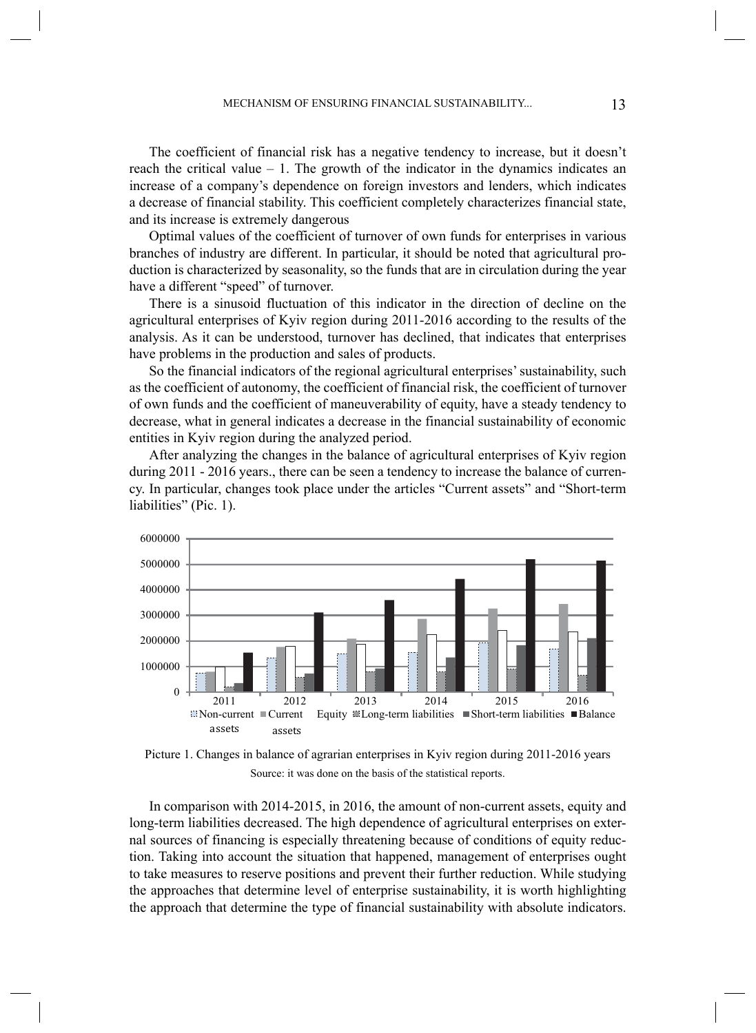The coefficient of financial risk has a negative tendency to increase, but it doesn't reach the critical value  $-1$ . The growth of the indicator in the dynamics indicates an increase of a company's dependence on foreign investors and lenders, which indicates a decrease of financial stability. This coefficient completely characterizes financial state, and its increase is extremely dangerous

Optimal values of the coefficient of turnover of own funds for enterprises in various branches of industry are different. In particular, it should be noted that agricultural production is characterized by seasonality, so the funds that are in circulation during the year have a different "speed" of turnover.

There is a sinusoid fluctuation of this indicator in the direction of decline on the agricultural enterprises of Kyiv region during 2011-2016 according to the results of the analysis. As it can be understood, turnover has declined, that indicates that enterprises have problems in the production and sales of products.

So the financial indicators of the regional agricultural enterprises' sustainability, such as the coefficient of autonomy, the coefficient of financial risk, the coefficient of turnover of own funds and the coefficient of maneuverability of equity, have a steady tendency to decrease, what in general indicates a decrease in the financial sustainability of economic entities in Kyiv region during the analyzed period.

After analyzing the changes in the balance of agricultural enterprises of Kyiv region during 2011 - 2016 years., there can be seen a tendency to increase the balance of currency. In particular, changes took place under the articles "Current assets" and "Short-term liabilities" (Pic. 1).



Picture 1. Changes in balance of agrarian enterprises in Kyiv region during 2011-2016 years Source: it was done on the basis of the statistical reports.

In comparison with 2014-2015, in 2016, the amount of non-current assets, equity and long-term liabilities decreased. The high dependence of agricultural enterprises on external sources of financing is especially threatening because of conditions of equity reduction. Taking into account the situation that happened, management of enterprises ought to take measures to reserve positions and prevent their further reduction. While studying the approaches that determine level of enterprise sustainability, it is worth highlighting the approach that determine the type of financial sustainability with absolute indicators.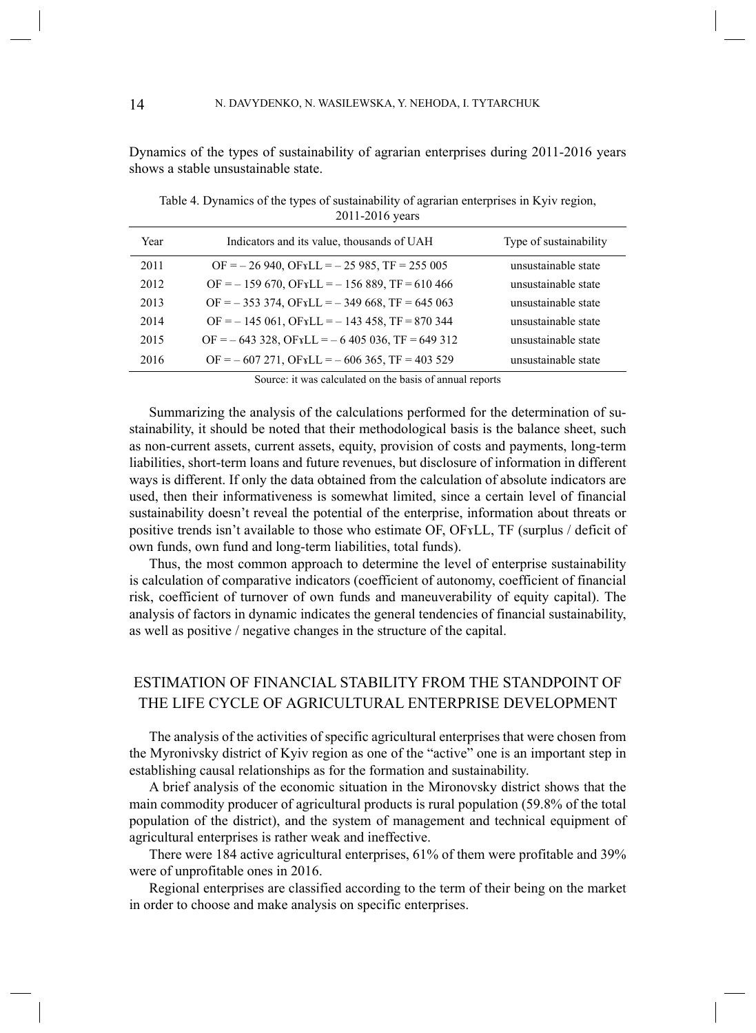Dynamics of the types of sustainability of agrarian enterprises during 2011-2016 years shows a stable unsustainable state.

| Year | Indicators and its value, thousands of UAH               | Type of sustainability |
|------|----------------------------------------------------------|------------------------|
| 2011 | $OF = -26940$ , $OFYLL = -25985$ , $TF = 255005$         | unsustainable state    |
| 2012 | $OF = -159670$ , $OFXLL = -156889$ , $TF = 610466$       | unsustainable state    |
| 2013 | $OF = -353\,374$ , $OFXLL = -349\,668$ , $TF = 645\,063$ | unsustainable state    |
| 2014 | $OF = -145061$ , $OFxLL = -143458$ , $TF = 870344$       | unsustainable state    |
| 2015 | $OF = -643328$ , $OFxLL = -6405036$ , $TF = 649312$      | unsustainable state    |
| 2016 | $OF = -607271$ , $OFXLL = -606365$ , $TF = 403529$       | unsustainable state    |

Table 4. Dynamics of the types of sustainability of agrarian enterprises in Kyiv region, 2011-2016 years

Source: it was calculated on the basis of annual reports

Summarizing the analysis of the calculations performed for the determination of sustainability, it should be noted that their methodological basis is the balance sheet, such as non-current assets, current assets, equity, provision of costs and payments, long-term liabilities, short-term loans and future revenues, but disclosure of information in different ways is different. If only the data obtained from the calculation of absolute indicators are used, then their informativeness is somewhat limited, since a certain level of financial sustainability doesn't reveal the potential of the enterprise, information about threats or positive trends isn't available to those who estimate OF, OFvLL, TF (surplus / deficit of own funds, own fund and long-term liabilities, total funds).

Thus, the most common approach to determine the level of enterprise sustainability is calculation of comparative indicators (coefficient of autonomy, coefficient of financial risk, coefficient of turnover of own funds and maneuverability of equity capital). The analysis of factors in dynamic indicates the general tendencies of financial sustainability, as well as positive / negative changes in the structure of the capital.

# ESTIMATION OF FINANCIAL STABILITY FROM THE STANDPOINT OF THE LIFE CYCLE OF AGRICULTURAL ENTERPRISE DEVELOPMENT

The analysis of the activities of specific agricultural enterprises that were chosen from the Myronivsky district of Kyiv region as one of the "active" one is an important step in establishing causal relationships as for the formation and sustainability.

A brief analysis of the economic situation in the Mironovsky district shows that the main commodity producer of agricultural products is rural population (59.8% of the total population of the district), and the system of management and technical equipment of agricultural enterprises is rather weak and ineffective.

There were 184 active agricultural enterprises, 61% of them were profitable and 39% were of unprofitable ones in 2016.

Regional enterprises are classified according to the term of their being on the market in order to choose and make analysis on specific enterprises.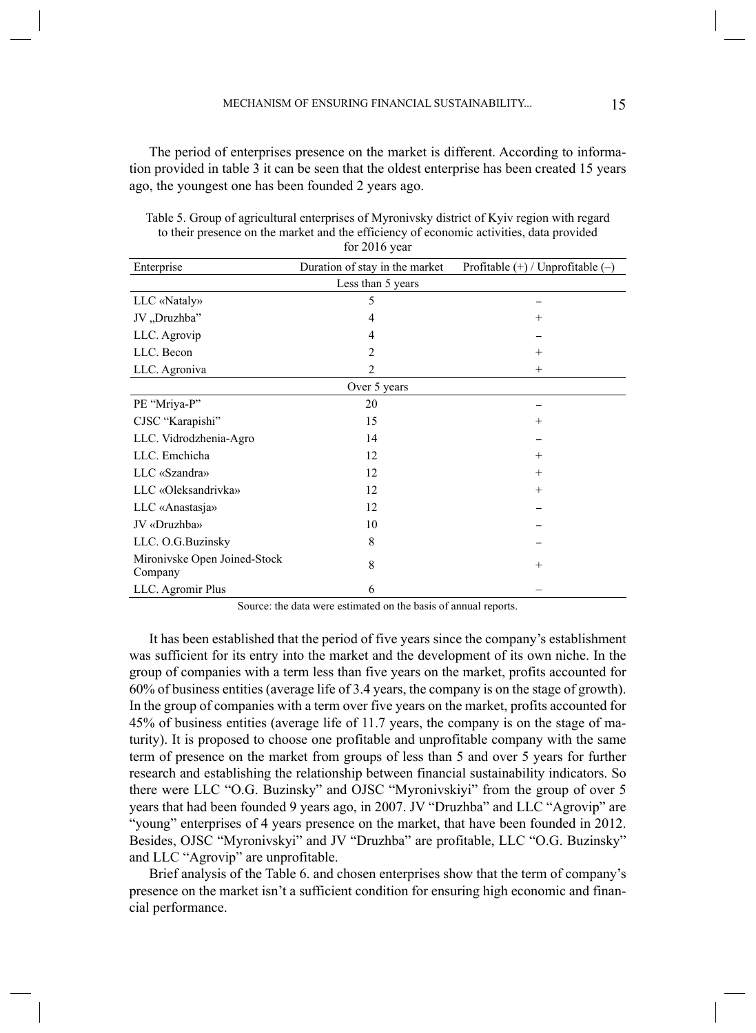The period of enterprises presence on the market is different. According to information provided in table 3 it can be seen that the oldest enterprise has been created 15 years ago, the youngest one has been founded 2 years ago.

| Enterprise                              | Duration of stay in the market | Profitable $(+)$ / Unprofitable $(-)$ |
|-----------------------------------------|--------------------------------|---------------------------------------|
|                                         | Less than 5 years              |                                       |
| LLC «Nataly»                            | 5                              |                                       |
| JV "Druzhba"                            | 4                              | $^{+}$                                |
| LLC. Agrovip                            | 4                              |                                       |
| LLC. Becon                              | 2                              | $^{+}$                                |
| LLC. Agroniva                           | $\overline{c}$                 | $+$                                   |
|                                         | Over 5 years                   |                                       |
| PE "Mriya-P"                            | 20                             |                                       |
| CJSC "Karapishi"                        | 15                             | $^{+}$                                |
| LLC. Vidrodzhenia-Agro                  | 14                             |                                       |
| LLC. Emchicha                           | 12                             | $+$                                   |
| LLC «Szandra»                           | 12                             | $+$                                   |
| LLC «Oleksandrivka»                     | 12                             | $+$                                   |
| LLC «Anastasja»                         | 12                             |                                       |
| JV «Druzhba»                            | 10                             |                                       |
| LLC. O.G.Buzinsky                       | 8                              |                                       |
| Mironivske Open Joined-Stock<br>Company | 8                              | $+$                                   |
| LLC. Agromir Plus                       | 6                              |                                       |

Table 5. Group of agricultural enterprises of Myronivsky district of Kyiv region with regard to their presence on the market and the efficiency of economic activities, data provided for 2016 year

Source: the data were estimated on the basis of annual reports.

It has been established that the period of five years since the company's establishment was sufficient for its entry into the market and the development of its own niche. In the group of companies with a term less than five years on the market, profits accounted for 60% of business entities (average life of 3.4 years, the company is on the stage of growth). In the group of companies with a term over five years on the market, profits accounted for 45% of business entities (average life of 11.7 years, the company is on the stage of maturity). It is proposed to choose one profitable and unprofitable company with the same term of presence on the market from groups of less than 5 and over 5 years for further research and establishing the relationship between financial sustainability indicators. So there were LLC "O.G. Buzinsky" and OJSC "Myronivskiyi" from the group of over 5 years that had been founded 9 years ago, in 2007. JV "Druzhba" and LLC "Agrovip" are "young" enterprises of 4 years presence on the market, that have been founded in 2012. Besides, OJSC "Myronivskyi" and JV "Druzhba" are profitable, LLC "O.G. Buzinsky" and LLC "Agrovip" are unprofitable.

Brief analysis of the Table 6. and chosen enterprises show that the term of company's presence on the market isn't a sufficient condition for ensuring high economic and financial performance.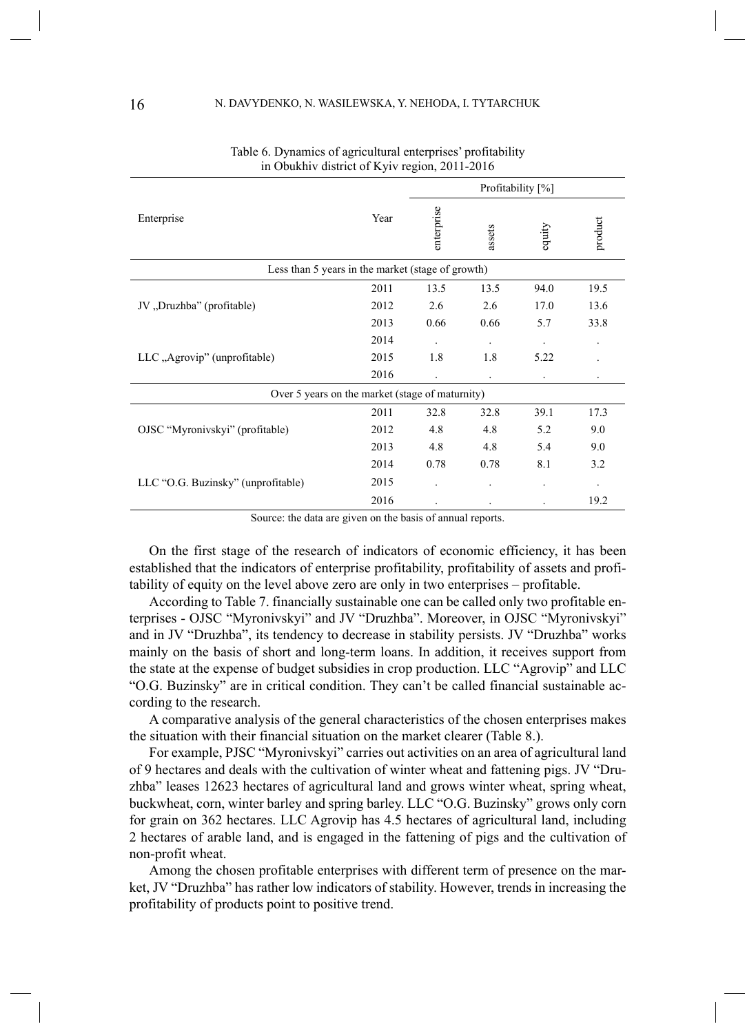|                                                   |      | Profitability [%] |                      |                |         |
|---------------------------------------------------|------|-------------------|----------------------|----------------|---------|
| Enterprise                                        | Year | enterprise        | assets               | equity         | product |
| Less than 5 years in the market (stage of growth) |      |                   |                      |                |         |
|                                                   | 2011 | 13.5              | 13.5                 | 94.0           | 19.5    |
| JV "Druzhba" (profitable)                         | 2012 | 2.6               | 2.6                  | 17.0           | 13.6    |
|                                                   | 2013 | 0.66              | 0.66                 | 5.7            | 33.8    |
|                                                   | 2014 | $\cdot$           | $\blacksquare$       |                |         |
| LLC, Agrovip" (unprofitable)                      | 2015 | 1.8               | 1.8                  | 5.22           |         |
|                                                   | 2016 |                   | $\ddot{\phantom{1}}$ | $\blacksquare$ |         |
| Over 5 years on the market (stage of maturnity)   |      |                   |                      |                |         |
|                                                   | 2011 | 32.8              | 32.8                 | 39.1           | 17.3    |
| OJSC "Myronivskyi" (profitable)                   | 2012 | 4.8               | 4.8                  | 5.2            | 9.0     |
|                                                   | 2013 | 4.8               | 4.8                  | 5.4            | 9.0     |
|                                                   | 2014 | 0.78              | 0.78                 | 8.1            | 3.2     |
| LLC "O.G. Buzinsky" (unprofitable)                | 2015 |                   |                      |                |         |
| $\sim$                                            | 2016 | $\sim$            |                      |                | 19.2    |

| Table 6. Dynamics of agricultural enterprises' profitability |  |
|--------------------------------------------------------------|--|
| in Obukhiv district of Kyiv region, 2011-2016                |  |

Source: the data are given on the basis of annual reports.

On the first stage of the research of indicators of economic efficiency, it has been established that the indicators of enterprise profitability, profitability of assets and profitability of equity on the level above zero are only in two enterprises – profitable.

According to Table 7. financially sustainable one can be called only two profitable enterprises - OJSC "Myronivskyi" and JV "Druzhba". Moreover, in OJSC "Myronivskyi" and in JV "Druzhba", its tendency to decrease in stability persists. JV "Druzhba" works mainly on the basis of short and long-term loans. In addition, it receives support from the state at the expense of budget subsidies in crop production. LLC "Agrovip" and LLC "O.G. Buzinsky" are in critical condition. They can't be called financial sustainable according to the research.

A comparative analysis of the general characteristics of the chosen enterprises makes the situation with their financial situation on the market clearer (Table 8.).

For example, PJSC "Myronivskyi" carries out activities on an area of agricultural land of 9 hectares and deals with the cultivation of winter wheat and fattening pigs. JV "Druzhba" leases 12623 hectares of agricultural land and grows winter wheat, spring wheat, buckwheat, corn, winter barley and spring barley. LLC "O.G. Buzinsky" grows only corn for grain on 362 hectares. LLC Agrovip has 4.5 hectares of agricultural land, including 2 hectares of arable land, and is engaged in the fattening of pigs and the cultivation of non-profit wheat.

Among the chosen profitable enterprises with different term of presence on the market, JV "Druzhba" has rather low indicators of stability. However, trends in increasing the profitability of products point to positive trend.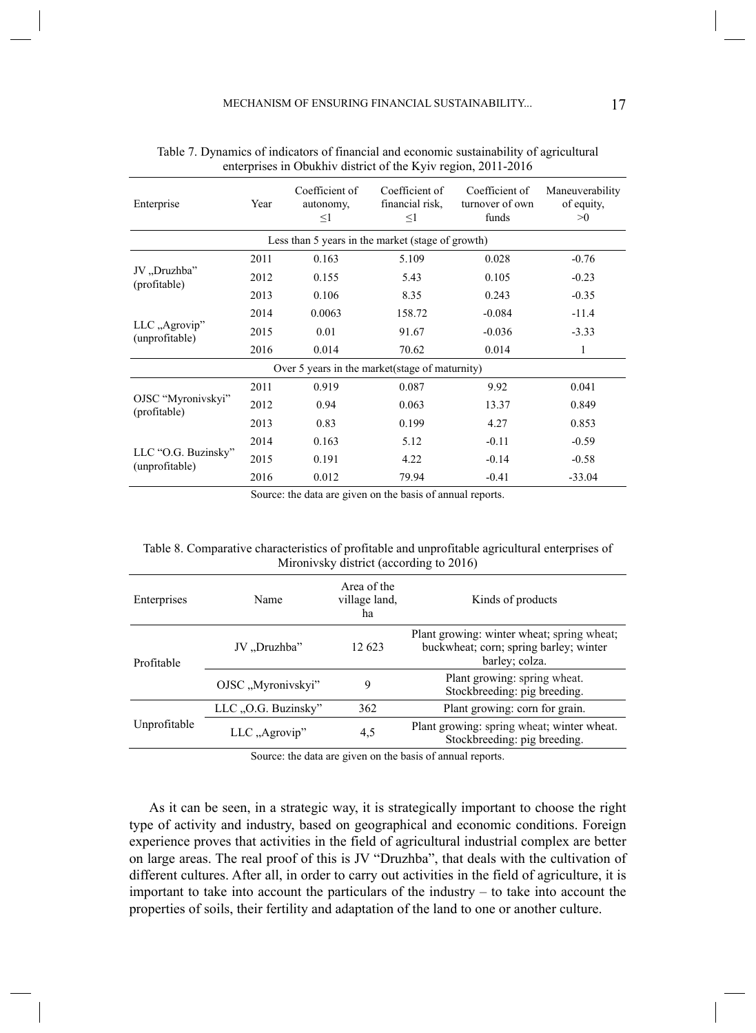| Enterprise                                      | Year | Coefficient of<br>autonomy,<br>$\leq1$            | Coefficient of<br>financial risk.<br>$\leq1$ | Coefficient of<br>turnover of own<br>funds | Maneuverability<br>of equity,<br>>0 |
|-------------------------------------------------|------|---------------------------------------------------|----------------------------------------------|--------------------------------------------|-------------------------------------|
|                                                 |      | Less than 5 years in the market (stage of growth) |                                              |                                            |                                     |
|                                                 | 2011 | 0.163                                             | 5.109                                        | 0.028                                      | $-0.76$                             |
| JV "Druzhba"<br>(profitable)                    | 2012 | 0.155                                             | 5.43                                         | 0.105                                      | $-0.23$                             |
|                                                 | 2013 | 0.106                                             | 8.35                                         | 0.243                                      | $-0.35$                             |
|                                                 | 2014 | 0.0063                                            | 158.72                                       | $-0.084$                                   | $-11.4$                             |
| LLC "Agrovip"<br>(unprofitable)                 | 2015 | 0.01                                              | 91.67                                        | $-0.036$                                   | $-3.33$                             |
|                                                 | 2016 | 0.014                                             | 70.62                                        | 0.014                                      | 1                                   |
| Over 5 years in the market (stage of maturnity) |      |                                                   |                                              |                                            |                                     |
|                                                 | 2011 | 0.919                                             | 0.087                                        | 9.92                                       | 0.041                               |
| OJSC "Myronivskyi"<br>(profitable)              | 2012 | 0.94                                              | 0.063                                        | 13.37                                      | 0.849                               |
|                                                 | 2013 | 0.83                                              | 0.199                                        | 4.27                                       | 0.853                               |
|                                                 | 2014 | 0.163                                             | 5.12                                         | $-0.11$                                    | $-0.59$                             |
| LLC "O.G. Buzinsky"                             | 2015 | 0.191                                             | 4.22                                         | $-0.14$                                    | $-0.58$                             |
| (unprofitable)                                  | 2016 | 0.012                                             | 79.94                                        | $-0.41$                                    | $-33.04$                            |

| Table 7. Dynamics of indicators of financial and economic sustainability of agricultural |  |
|------------------------------------------------------------------------------------------|--|
| enterprises in Obukhiv district of the Kyiv region, 2011-2016                            |  |

Source: the data are given on the basis of annual reports.

| Table 8. Comparative characteristics of profitable and unprofitable agricultural enterprises of |  |
|-------------------------------------------------------------------------------------------------|--|
| Mironivsky district (according to 2016)                                                         |  |

| Enterprises  | Name               | Area of the<br>village land,<br>ha | Kinds of products                                                                                      |
|--------------|--------------------|------------------------------------|--------------------------------------------------------------------------------------------------------|
| Profitable   | JV "Druzhba"       | 12 623                             | Plant growing: winter wheat; spring wheat;<br>buckwheat; corn; spring barley; winter<br>barley; colza. |
|              | OJSC "Myronivskyi" | 9                                  | Plant growing: spring wheat.<br>Stockbreeding: pig breeding.                                           |
| Unprofitable | LLC O.G. Buzinsky" | 362                                | Plant growing: corn for grain.                                                                         |
|              | $LLC$ , Agrovip"   | 4,5                                | Plant growing: spring wheat; winter wheat.<br>Stockbreeding: pig breeding.                             |

Source: the data are given on the basis of annual reports.

As it can be seen, in a strategic way, it is strategically important to choose the right type of activity and industry, based on geographical and economic conditions. Foreign experience proves that activities in the field of agricultural industrial complex are better on large areas. The real proof of this is JV "Druzhba", that deals with the cultivation of different cultures. After all, in order to carry out activities in the field of agriculture, it is important to take into account the particulars of the industry – to take into account the properties of soils, their fertility and adaptation of the land to one or another culture.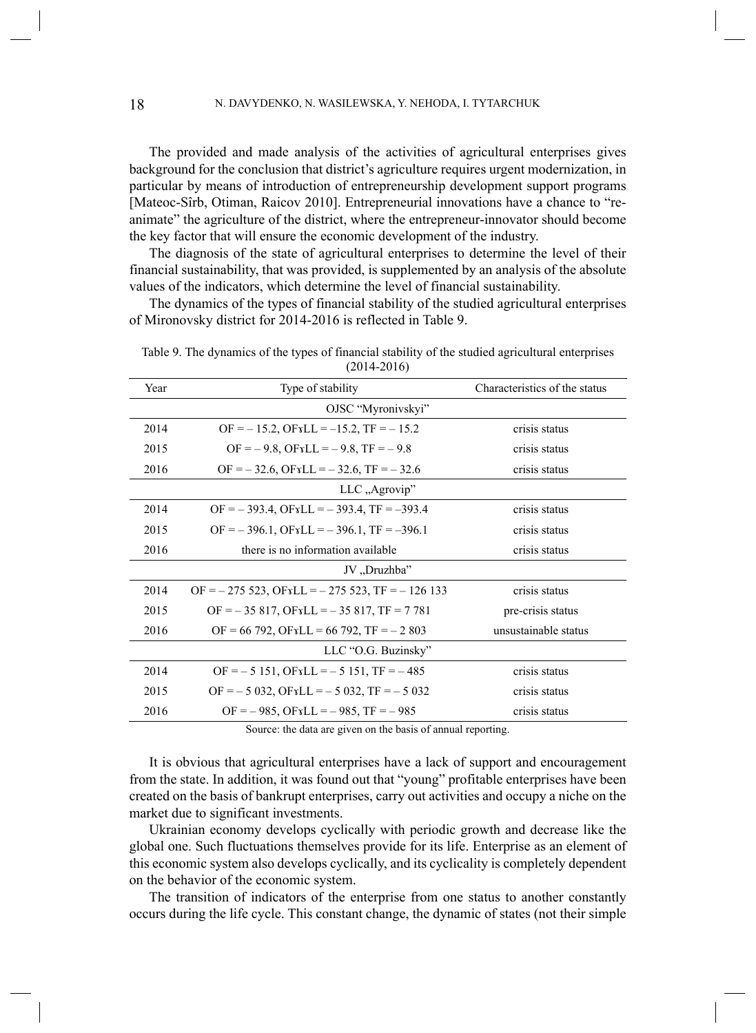The provided and made analysis of the activities of agricultural enterprises gives background for the conclusion that district's agriculture requires urgent modernization, in particular by means of introduction of entrepreneurship development support programs [Mateoc-Sîrb, Otiman, Raicov 2010]. Entrepreneurial innovations have a chance to "reanimate" the agriculture of the district, where the entrepreneur-innovator should become the key factor that will ensure the economic development of the industry.

The diagnosis of the state of agricultural enterprises to determine the level of their financial sustainability, that was provided, is supplemented by an analysis of the absolute values of the indicators, which determine the level of financial sustainability.

The dynamics of the types of financial stability of the studied agricultural enterprises of Mironovsky district for 2014-2016 is reflected in Table 9.

| Year                | Type of stability                                   | Characteristics of the status |  |  |
|---------------------|-----------------------------------------------------|-------------------------------|--|--|
|                     | OJSC "Myronivskyi"                                  |                               |  |  |
| 2014                | $OF = -15.2$ , $OFXLL = -15.2$ , $TF = -15.2$       | crisis status                 |  |  |
| 2015                | $OF = -9.8$ , $OFXLL = -9.8$ , $TF = -9.8$          | crisis status                 |  |  |
| 2016                | $OF = -32.6$ , $OFxLL = -32.6$ , $TF = -32.6$       | crisis status                 |  |  |
|                     | LLC "Agrovip"                                       |                               |  |  |
| 2014                | $OF = -393.4$ , $OFrLL = -393.4$ , $TF = -393.4$    | crisis status                 |  |  |
| 2015                | $OF = -396.1$ , $OFrLL = -396.1$ , $TF = -396.1$    | crisis status                 |  |  |
| 2016                | there is no information available                   | crisis status                 |  |  |
|                     | JV "Druzhba"                                        |                               |  |  |
| 2014                | $OF = -275523$ , $OFYLL = -275523$ , $TF = -126133$ | crisis status                 |  |  |
| 2015                | $OF = -35817$ , $OFXLL = -35817$ , $TF = 7781$      | pre-crisis status             |  |  |
| 2016                | $OF = 66792$ , $OFYLL = 66792$ , $TF = -2803$       | unsustainable status          |  |  |
| LLC "O.G. Buzinsky" |                                                     |                               |  |  |
| 2014                | $OF = -5151$ , $OFxLL = -5151$ , $TF = -485$        | crisis status                 |  |  |
| 2015                | $OF = -5032$ , $OFxLL = -5032$ , $TF = -5032$       | crisis status                 |  |  |
| 2016                | $OF = -985$ , $OFYLL = -985$ , $TF = -985$          | crisis status                 |  |  |
|                     |                                                     |                               |  |  |

Table 9. The dynamics of the types of financial stability of the studied agricultural enterprises (2014-2016)

Source: the data are given on the basis of annual reporting.

It is obvious that agricultural enterprises have a lack of support and encouragement from the state. In addition, it was found out that "young" profitable enterprises have been created on the basis of bankrupt enterprises, carry out activities and occupy a niche on the market due to significant investments.

Ukrainian economy develops cyclically with periodic growth and decrease like the global one. Such fluctuations themselves provide for its life. Enterprise as an element of this economic system also develops cyclically, and its cyclicality is completely dependent on the behavior of the economic system.

The transition of indicators of the enterprise from one status to another constantly occurs during the life cycle. This constant change, the dynamic of states (not their simple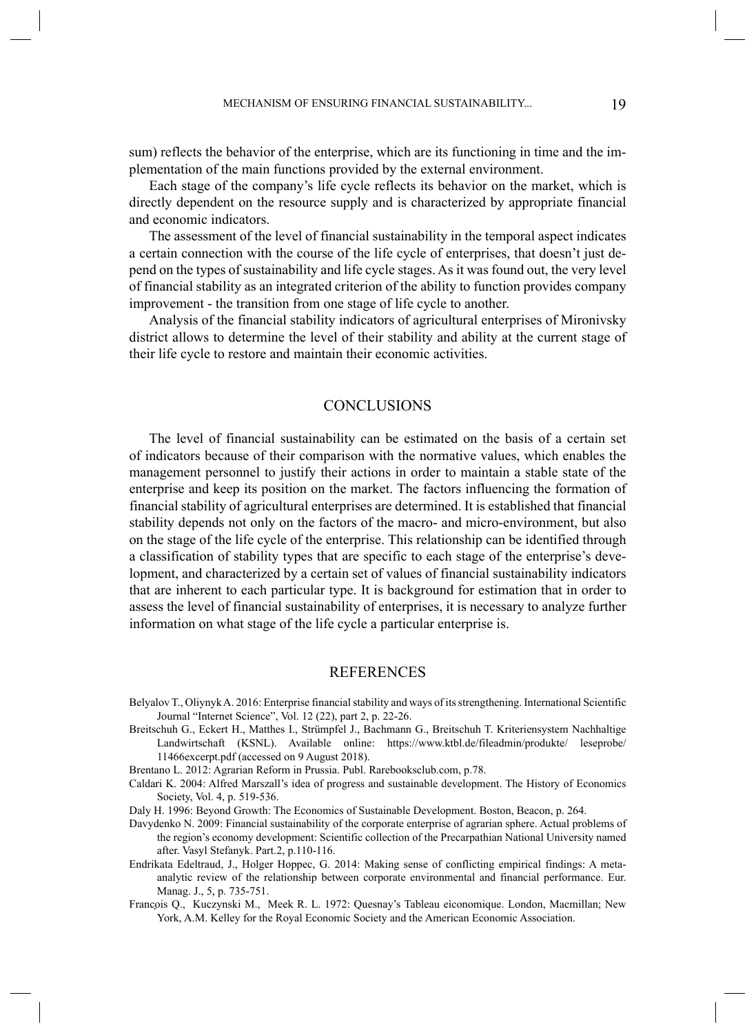sum) reflects the behavior of the enterprise, which are its functioning in time and the implementation of the main functions provided by the external environment.

Each stage of the company's life cycle reflects its behavior on the market, which is directly dependent on the resource supply and is characterized by appropriate financial and economic indicators.

The assessment of the level of financial sustainability in the temporal aspect indicates a certain connection with the course of the life cycle of enterprises, that doesn't just depend on the types of sustainability and life cycle stages. As it was found out, the very level of financial stability as an integrated criterion of the ability to function provides company improvement - the transition from one stage of life cycle to another.

Analysis of the financial stability indicators of agricultural enterprises of Mironivsky district allows to determine the level of their stability and ability at the current stage of their life cycle to restore and maintain their economic activities.

## **CONCLUSIONS**

The level of financial sustainability can be estimated on the basis of a certain set of indicators because of their comparison with the normative values, which enables the management personnel to justify their actions in order to maintain a stable state of the enterprise and keep its position on the market. The factors influencing the formation of financial stability of agricultural enterprises are determined. It is established that financial stability depends not only on the factors of the macro- and micro-environment, but also on the stage of the life cycle of the enterprise. This relationship can be identified through a classification of stability types that are specific to each stage of the enterprise's development, and characterized by a certain set of values of financial sustainability indicators that are inherent to each particular type. It is background for estimation that in order to assess the level of financial sustainability of enterprises, it is necessary to analyze further information on what stage of the life cycle a particular enterprise is.

#### **REFERENCES**

- Belyalov T., Oliynyk A. 2016: Enterprise financial stability and ways of its strengthening. International Scientific Journal "Internet Science", Vol. 12 (22), part 2, p. 22-26.
- Breitschuh G., Eckert H., Matthes I., Strümpfel J., Bachmann G., Breitschuh T. Kriteriensystem Nachhaltige Landwirtschaft (KSNL). Available online: https://www.ktbl.de/fileadmin/produkte/ leseprobe/ 11466excerpt.pdf (accessed on 9 August 2018).

- Caldari K. 2004: Alfred Marszall's idea of progress and sustainable development. The History of Economics Society, Vol. 4, p. 519-536.
- Daly H. 1996: Beyond Growth: The Economics of Sustainable Development. Boston, Beacon, p. 264.
- Davydenko N. 2009: Financial sustainability of the corporate enterprise of agrarian sphere. Actual problems of the region's economy development: Scientific collection of the Precarpathian National University named after. Vasyl Stefanyk. Part.2, p.110-116.
- Endrikata Edeltraud, J., Holger Hoppec, G. 2014: Making sense of conflicting empirical findings: A metaanalytic review of the relationship between corporate environmental and financial performance. Eur. Manag. J., 5, p. 735-751.
- François Q., Kuczynski M., Meek R. L. 1972: Quesnay's Tableau eìconomique. London, Macmillan; New York, A.M. Kelley for the Royal Economic Society and the American Economic Association.

Brentano L. 2012: Agrarian Reform in Prussia. Publ. Rarebooksclub.com, p.78.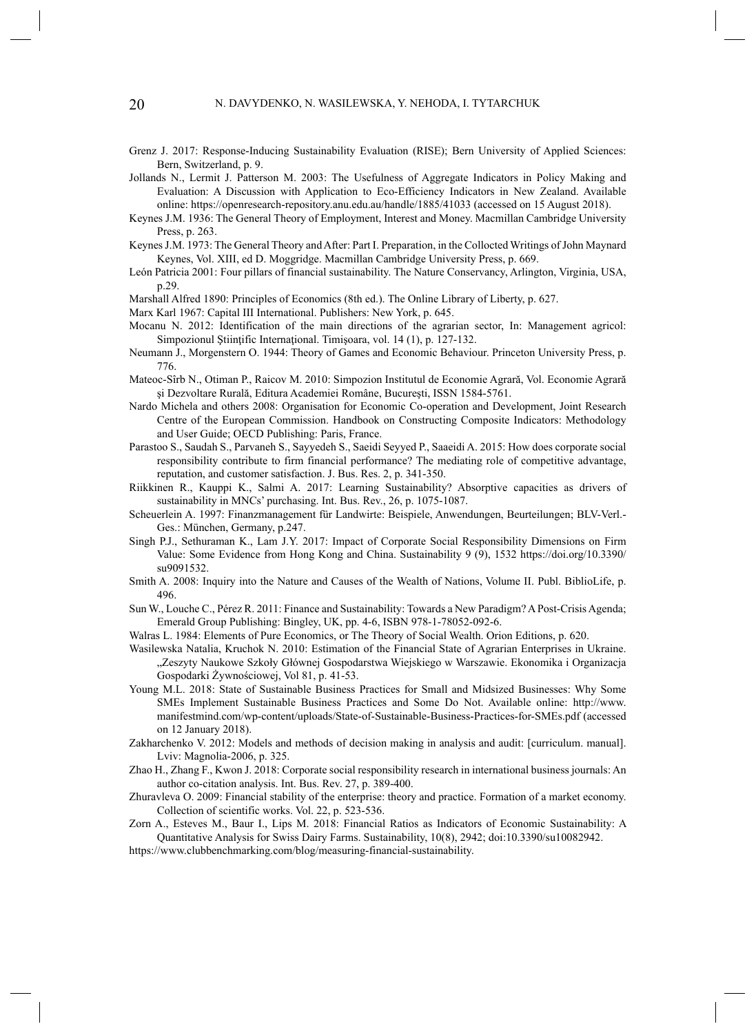- Grenz J. 2017: Response-Inducing Sustainability Evaluation (RISE); Bern University of Applied Sciences: Bern, Switzerland, p. 9.
- Jollands N., Lermit J. Patterson M. 2003: The Usefulness of Aggregate Indicators in Policy Making and Evaluation: A Discussion with Application to Eco-Efficiency Indicators in New Zealand. Available online: https://openresearch-repository.anu.edu.au/handle/1885/41033 (accessed on 15 August 2018).
- Keynes J.M. 1936: The General Theory of Employment, Interest and Money. Macmillan Cambridge University Press, p. 263.
- Keynes J.M. 1973: The General Theory and After: Part I. Preparation, in the Collocted Writings of John Maynard Keynes, Vol. XIII, ed D. Moggridge. Macmillan Cambridge University Press, p. 669.
- León Patricia 2001: Four pillars of financial sustainability. The Nature Conservancy, Arlington, Virginia, USA, p.29.
- Marshall Alfred 1890: Principles of Economics (8th ed.). The Online Library of Liberty, p. 627.
- Marx Karl 1967: Capital III International. Publishers: New York, p. 645.
- Mocanu N. 2012: Identification of the main directions of the agrarian sector, In: Management agricol: Simpozionul Ştiinţific Internaţional. Timişoara, vol. 14 (1), p. 127-132.
- Neumann J., Morgenstern O. 1944: Theory of Games and Economic Behaviour. Princeton University Press, p. 776.
- Mateoc-Sîrb N., Otiman P., Raicov M. 2010: Simpozion Institutul de Economie Agrară, Vol. Economie Agrară şi Dezvoltare Rurală, Editura Academiei Române, Bucureşti, ISSN 1584-5761.
- Nardo Michela and others 2008: Organisation for Economic Co-operation and Development, Joint Research Centre of the European Commission. Handbook on Constructing Composite Indicators: Methodology and User Guide; OECD Publishing: Paris, France.
- Parastoo S., Saudah S., Parvaneh S., Sayyedeh S., Saeidi Seyyed P., Saaeidi A. 2015: How does corporate social responsibility contribute to firm financial performance? The mediating role of competitive advantage, reputation, and customer satisfaction. J. Bus. Res. 2, p. 341-350.
- Riikkinen R., Kauppi K., Salmi A. 2017: Learning Sustainability? Absorptive capacities as drivers of sustainability in MNCs' purchasing. Int. Bus. Rev., 26, p. 1075-1087.
- Scheuerlein A. 1997: Finanzmanagement für Landwirte: Beispiele, Anwendungen, Beurteilungen; BLV-Verl.- Ges.: München, Germany, p.247.
- Singh P.J., Sethuraman K., Lam J.Y. 2017: Impact of Corporate Social Responsibility Dimensions on Firm Value: Some Evidence from Hong Kong and China. Sustainability 9 (9), 1532 https://doi.org/10.3390/ su9091532.
- Smith A. 2008: Inquiry into the Nature and Causes of the Wealth of Nations, Volume II. Publ. BiblioLife, p. 496.
- Sun W., Louche C., Pérez R. 2011: Finance and Sustainability: Towards a New Paradigm? A Post-Crisis Agenda; Emerald Group Publishing: Bingley, UK, pp. 4-6, ISBN 978-1-78052-092-6.
- Walras L. 1984: Elements of Pure Economics, or The Theory of Social Wealth. Orion Editions, p. 620.
- Wasilewska Natalia, Kruchok N. 2010: Estimation of the Financial State of Agrarian Enterprises in Ukraine. "Zeszyty Naukowe Szkoły Głównej Gospodarstwa Wiejskiego w Warszawie. Ekonomika i Organizacja Gospodarki Żywnościowej, Vol 81, p. 41-53.
- Young M.L. 2018: State of Sustainable Business Practices for Small and Midsized Businesses: Why Some SMEs Implement Sustainable Business Practices and Some Do Not. Available online: http://www. manifestmind.com/wp-content/uploads/State-of-Sustainable-Business-Practices-for-SMEs.pdf (accessed on 12 January 2018).
- Zakharchenko V. 2012: Models and methods of decision making in analysis and audit: [curriculum. manual]. Lviv: Magnolia-2006, p. 325.
- Zhao H., Zhang F., Kwon J. 2018: Corporate social responsibility research in international business journals: An author co-citation analysis. Int. Bus. Rev. 27, p. 389-400.
- Zhuravleva O. 2009: Financial stability of the enterprise: theory and practice. Formation of a market economy. Collection of scientific works. Vol. 22, p. 523-536.
- Zorn A., Esteves M., Baur I., Lips M. 2018: Financial Ratios as Indicators of Economic Sustainability: A Quantitative Analysis for Swiss Dairy Farms. Sustainability, 10(8), 2942; doi:10.3390/su10082942.
- https://www.clubbenchmarking.com/blog/measuring-financial-sustainability.